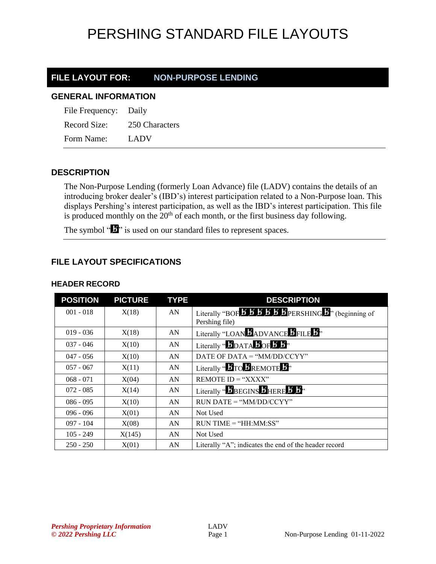# PERSHING STANDARD FILE LAYOUTS

### **FILE LAYOUT FOR: NON-PURPOSE LENDING**

#### **GENERAL INFORMATION**

| File Frequency: Daily |                |
|-----------------------|----------------|
| Record Size:          | 250 Characters |
| Form Name:            | <b>LADV</b>    |

### **DESCRIPTION**

The Non-Purpose Lending (formerly Loan Advance) file (LADV) contains the details of an introducing broker dealer's (IBD's) interest participation related to a Non-Purpose loan. This displays Pershing's interest participation, as well as the IBD's interest participation. This file is produced monthly on the  $20<sup>th</sup>$  of each month, or the first business day following.

The symbol " $\mathbf{I}$ " is used on our standard files to represent spaces.

### **FILE LAYOUT SPECIFICATIONS**

| <b>POSITION</b> | <b>PICTURE</b> | <b>TYPE</b> | <b>DESCRIPTION</b>                                                                                                                |
|-----------------|----------------|-------------|-----------------------------------------------------------------------------------------------------------------------------------|
| $001 - 018$     | X(18)          | AN          | Literally "BOF $\overline{B}$ $\overline{B}$ $\overline{B}$ $\overline{B}$ $\overline{B}$ PERSHING $\overline{B}$ " (beginning of |
|                 |                |             | Pershing file)                                                                                                                    |
| $019 - 036$     | X(18)          | AN          | Literally "LOAN BADVANCE BFILE B"                                                                                                 |
| $037 - 046$     | X(10)          | AN          | Literally " $\mathbf{5}_{\text{DATA}}$ $\mathbf{5}_{\text{OF}}$ $\mathbf{5}_{\text{B}}$ "                                         |
| $047 - 056$     | X(10)          | AN          | DATE OF DATA = " $MM/DD/CCYY"$                                                                                                    |
| $057 - 067$     | X(11)          | AN          | Literally " $\bm{B}$ TO $\bm{B}$ REMOTE $\bm{B}$ "                                                                                |
| $068 - 071$     | X(04)          | AN          | $REMOTE$ $ID = "XXX"$                                                                                                             |
| $072 - 085$     | X(14)          | AN          | Literally " <b>BEGINS BHERE B</b> B <sup>1</sup> "                                                                                |
| $086 - 095$     | X(10)          | AN          | $RUN\ DATE = "MM/DD/CCYY"$                                                                                                        |
| $096 - 096$     | X(01)          | AN          | Not Used                                                                                                                          |
| $097 - 104$     | X(08)          | AN          | $RUN TIME = "HH:MM:SS"$                                                                                                           |
| $105 - 249$     | X(145)         | AN          | Not Used                                                                                                                          |
| $250 - 250$     | X(01)          | AN          | Literally "A"; indicates the end of the header record                                                                             |

#### **HEADER RECORD**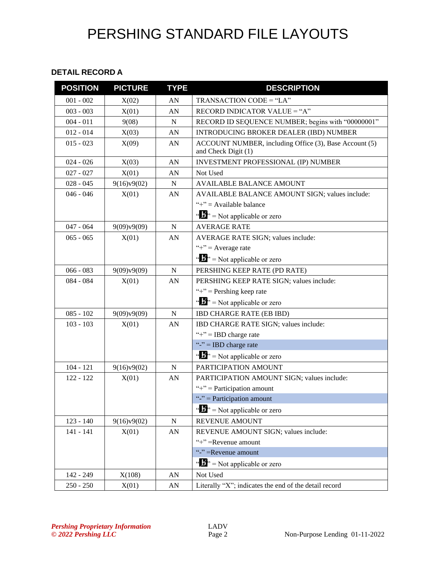# PERSHING STANDARD FILE LAYOUTS

#### **DETAIL RECORD A**

| <b>POSITION</b> | <b>PICTURE</b> | <b>TYPE</b>      | <b>DESCRIPTION</b>                                                            |
|-----------------|----------------|------------------|-------------------------------------------------------------------------------|
| $001 - 002$     | X(02)          | AN               | TRANSACTION CODE = "LA"                                                       |
| $003 - 003$     | X(01)          | AN               | RECORD INDICATOR VALUE = "A"                                                  |
| $004 - 011$     | 9(08)          | $\mathbf N$      | RECORD ID SEQUENCE NUMBER; begins with "00000001"                             |
| $012 - 014$     | X(03)          | AN               | INTRODUCING BROKER DEALER (IBD) NUMBER                                        |
| $015 - 023$     | X(09)          | AN               | ACCOUNT NUMBER, including Office (3), Base Account (5)<br>and Check Digit (1) |
| $024 - 026$     | X(03)          | AN               | <b>INVESTMENT PROFESSIONAL (IP) NUMBER</b>                                    |
| $027 - 027$     | X(01)          | AN               | Not Used                                                                      |
| $028 - 045$     | 9(16)v9(02)    | $\mathbf N$      | <b>AVAILABLE BALANCE AMOUNT</b>                                               |
| $046 - 046$     | X(01)          | AN               | AVAILABLE BALANCE AMOUNT SIGN; values include:                                |
|                 |                |                  | "+" = Available balance                                                       |
|                 |                |                  | " $\mathbf{b}$ " = Not applicable or zero                                     |
| $047 - 064$     | 9(09)v9(09)    | $\mathbf N$      | <b>AVERAGE RATE</b>                                                           |
| $065 - 065$     | X(01)          | AN               | <b>AVERAGE RATE SIGN; values include:</b>                                     |
|                 |                |                  | "+" = Average rate                                                            |
|                 |                |                  | " $\mathbf{B}$ " = Not applicable or zero                                     |
| $066 - 083$     | 9(09)v9(09)    | ${\bf N}$        | PERSHING KEEP RATE (PD RATE)                                                  |
| $084 - 084$     | X(01)          | AN               | PERSHING KEEP RATE SIGN; values include:                                      |
|                 |                |                  | "+" = Pershing keep rate                                                      |
|                 |                |                  | " $\mathbf{v}$ " = Not applicable or zero                                     |
| $085 - 102$     | 9(09)v9(09)    | $\mathbf N$      | <b>IBD CHARGE RATE (EB IBD)</b>                                               |
| $103 - 103$     | X(01)          | AN               | IBD CHARGE RATE SIGN; values include:                                         |
|                 |                |                  | "+" = IBD charge rate                                                         |
|                 |                |                  | "-" = IBD charge rate                                                         |
|                 |                |                  | $\mathbf{a} \cdot \mathbf{b}$ <sup>3</sup> = Not applicable or zero           |
| $104 - 121$     | 9(16)v9(02)    | $\mathbf N$      | PARTICIPATION AMOUNT                                                          |
| $122 - 122$     | X(01)          | AN               | PARTICIPATION AMOUNT SIGN; values include:                                    |
|                 |                |                  | "+" = Participation amount                                                    |
|                 |                |                  | "-" = Participation amount                                                    |
|                 |                |                  | " $\mathbf{B}$ " = Not applicable or zero                                     |
| $123 - 140$     | 9(16)v9(02)    | ${\bf N}$        | REVENUE AMOUNT                                                                |
| $141 - 141$     | X(01)          | ${\bf A}{\bf N}$ | REVENUE AMOUNT SIGN; values include:                                          |
|                 |                |                  | "+" = Revenue amount                                                          |
|                 |                |                  | "-"=Revenue amount                                                            |
|                 |                |                  | " $\mathbf{N}$ " = Not applicable or zero                                     |
| 142 - 249       | X(108)         | AN               | Not Used                                                                      |
| $250 - 250$     | X(01)          | AN               | Literally "X"; indicates the end of the detail record                         |